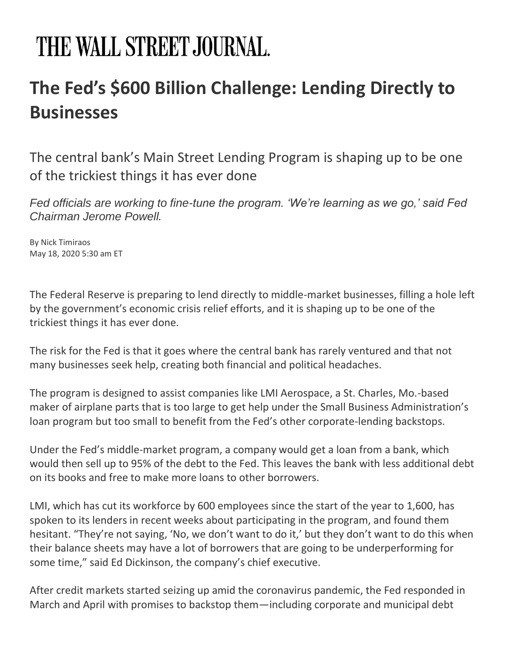## THE WALL STREET JOURNAL.

## **The Fed's \$600 Billion Challenge: Lending Directly to Businesses**

The central bank's Main Street Lending Program is shaping up to be one of the trickiest things it has ever done

*Fed officials are working to fine-tune the program. 'We're learning as we go,' said Fed Chairman Jerome Powell.*

By Nick Timiraos May 18, 2020 5:30 am ET

The Federal Reserve is preparing to lend directly to middle-market businesses, filling a hole left by the government's economic crisis relief efforts, and it is shaping up to be one of the trickiest things it has ever done.

The risk for the Fed is that it goes where the central bank has rarely ventured and that not many businesses seek help, creating both financial and political headaches.

The program is designed to assist companies like LMI Aerospace, a St. Charles, Mo.-based maker of airplane parts that is too large to get help under the Small Business Administration's loan program but too small to benefit from the Fed's other corporate-lending backstops.

Under the Fed's middle-market program, a company would get a loan from a bank, which would then sell up to 95% of the debt to the Fed. This leaves the bank with less additional debt on its books and free to make more loans to other borrowers.

LMI, which has cut its workforce by 600 employees since the start of the year to 1,600, has spoken to its lenders in recent weeks about participating in the program, and found them hesitant. "They're not saying, 'No, we don't want to do it,' but they don't want to do this when their balance sheets may have a lot of borrowers that are going to be underperforming for some time," said Ed Dickinson, the company's chief executive.

After credit markets started seizing up amid the coronavirus pandemic, the Fed responded in March and April with promises to backstop them—including corporate and municipal debt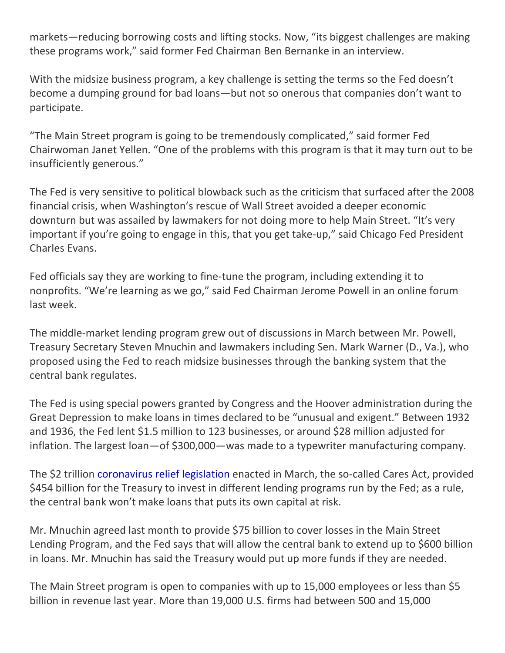markets—reducing borrowing costs and lifting stocks. Now, "its biggest challenges are making these programs work," said former Fed Chairman Ben Bernanke in an interview.

With the midsize business program, a key challenge is setting the terms so the Fed doesn't become a dumping ground for bad loans—but not so onerous that companies don't want to participate.

"The Main Street program is going to be tremendously complicated," said former Fed Chairwoman Janet Yellen. "One of the problems with this program is that it may turn out to be insufficiently generous."

The Fed is very sensitive to political blowback such as the criticism that surfaced after the 2008 financial crisis, when Washington's rescue of Wall Street avoided a deeper economic downturn but was assailed by lawmakers for not doing more to help Main Street. "It's very important if you're going to engage in this, that you get take-up," said Chicago Fed President Charles Evans.

Fed officials say they are working to fine-tune the program, including extending it to nonprofits. "We're learning as we go," said Fed Chairman Jerome Powell in an online forum last week.

The middle-market lending program grew out of discussions in March between Mr. Powell, Treasury Secretary Steven Mnuchin and lawmakers including Sen. Mark Warner (D., Va.), who proposed using the Fed to reach midsize businesses through the banking system that the central bank regulates.

The Fed is using special powers granted by Congress and the Hoover administration during the Great Depression to make loans in times declared to be "unusual and exigent." Between 1932 and 1936, the Fed lent \$1.5 million to 123 businesses, or around \$28 million adjusted for inflation. The largest loan—of \$300,000—was made to a typewriter manufacturing company.

The \$2 trillion [coronavirus relief legislation](https://www.wsj.com/articles/house-lawmakers-race-to-washington-to-ensure-coronavirus-stimulus-passes-11585318472?mod=article_inline) enacted in March, the so-called Cares Act, provided \$454 billion for the Treasury to invest in different lending programs run by the Fed; as a rule, the central bank won't make loans that puts its own capital at risk.

Mr. Mnuchin agreed last month to provide \$75 billion to cover losses in the Main Street Lending Program, and the Fed says that will allow the central bank to extend up to \$600 billion in loans. Mr. Mnuchin has said the Treasury would put up more funds if they are needed.

The Main Street program is open to companies with up to 15,000 employees or less than \$5 billion in revenue last year. More than 19,000 U.S. firms had between 500 and 15,000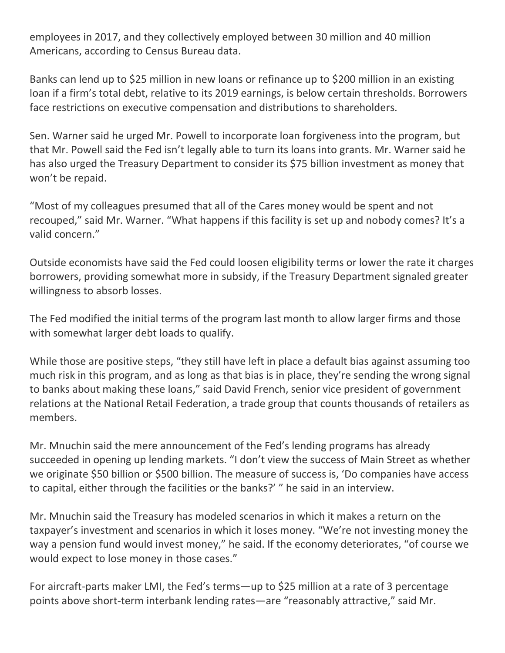employees in 2017, and they collectively employed between 30 million and 40 million Americans, according to Census Bureau data.

Banks can lend up to \$25 million in new loans or refinance up to \$200 million in an existing loan if a firm's total debt, relative to its 2019 earnings, is below certain thresholds. Borrowers face restrictions on executive compensation and distributions to shareholders.

Sen. Warner said he urged Mr. Powell to incorporate loan forgiveness into the program, but that Mr. Powell said the Fed isn't legally able to turn its loans into grants. Mr. Warner said he has also urged the Treasury Department to consider its \$75 billion investment as money that won't be repaid.

"Most of my colleagues presumed that all of the Cares money would be spent and not recouped," said Mr. Warner. "What happens if this facility is set up and nobody comes? It's a valid concern."

Outside economists have said the Fed could loosen eligibility terms or lower the rate it charges borrowers, providing somewhat more in subsidy, if the Treasury Department signaled greater willingness to absorb losses.

The Fed modified the initial terms of the program last month to allow larger firms and those with somewhat larger debt loads to qualify.

While those are positive steps, "they still have left in place a default bias against assuming too much risk in this program, and as long as that bias is in place, they're sending the wrong signal to banks about making these loans," said David French, senior vice president of government relations at the National Retail Federation, a trade group that counts thousands of retailers as members.

Mr. Mnuchin said the mere announcement of the Fed's lending programs has already succeeded in opening up lending markets. "I don't view the success of Main Street as whether we originate \$50 billion or \$500 billion. The measure of success is, 'Do companies have access to capital, either through the facilities or the banks?' " he said in an interview.

Mr. Mnuchin said the Treasury has modeled scenarios in which it makes a return on the taxpayer's investment and scenarios in which it loses money. "We're not investing money the way a pension fund would invest money," he said. If the economy deteriorates, "of course we would expect to lose money in those cases."

For aircraft-parts maker LMI, the Fed's terms—up to \$25 million at a rate of 3 percentage points above short-term interbank lending rates—are "reasonably attractive," said Mr.